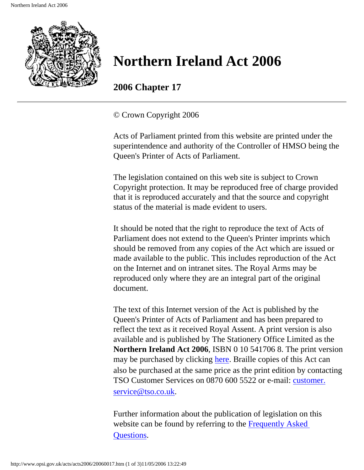

**2006 Chapter 17**

© Crown Copyright 2006

Acts of Parliament printed from this website are printed under the superintendence and authority of the Controller of HMSO being the Queen's Printer of Acts of Parliament.

The legislation contained on this web site is subject to Crown Copyright protection. It may be reproduced free of charge provided that it is reproduced accurately and that the source and copyright status of the material is made evident to users.

It should be noted that the right to reproduce the text of Acts of Parliament does not extend to the Queen's Printer imprints which should be removed from any copies of the Act which are issued or made available to the public. This includes reproduction of the Act on the Internet and on intranet sites. The Royal Arms may be reproduced only where they are an integral part of the original document.

The text of this Internet version of the Act is published by the Queen's Printer of Acts of Parliament and has been prepared to reflect the text as it received Royal Assent. A print version is also available and is published by The Stationery Office Limited as the **Northern Ireland Act 2006**, ISBN 0 10 541706 8. The print version may be purchased by clicking [here.](http://www.opsi.gov.uk/bookstore.htm?AF=A10075&FO=38383&ACTION=AddItem&ProductID=0105417068) Braille copies of this Act can also be purchased at the same price as the print edition by contacting TSO Customer Services on 0870 600 5522 or e-mail: [customer.](mailto:customer.service@tso.co.uk) [service@tso.co.uk.](mailto:customer.service@tso.co.uk)

Further information about the publication of legislation on this website can be found by referring to the [Frequently Asked](http://www.hmso.gov.uk/faqs.htm)  [Questions.](http://www.hmso.gov.uk/faqs.htm)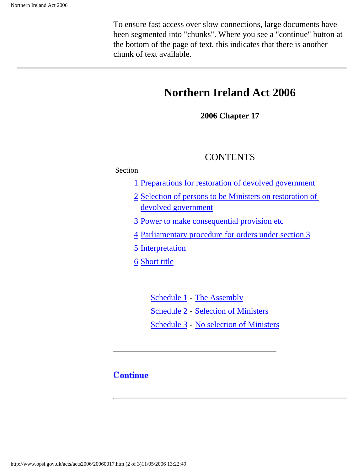To ensure fast access over slow connections, large documents have been segmented into "chunks". Where you see a "continue" button at the bottom of the page of text, this indicates that there is another chunk of text available.

## **Northern Ireland Act 2006**

**2006 Chapter 17**

### **CONTENTS**

#### Section

- [1](#page-3-0) [Preparations for restoration of devolved government](#page-3-0)
- [2](#page-4-0) [Selection of persons to be Ministers on restoration of](#page-4-0)  [devolved government](#page-4-0)
- [3](#page-5-0) [Power to make consequential provision etc](#page-5-0)
- [4](#page-6-0) [Parliamentary procedure for orders under section 3](#page-6-0)
- [5](#page-7-0) [Interpretation](#page-7-0)
- [6](#page-8-0) [Short title](#page-8-0)

 [Schedule 1](#page-9-0) - [The Assembly](#page-9-0) Schedule 2 - Selection of Ministers [Schedule 3](#page-17-0) - [No selection of Ministers](#page-17-0)

### **Continue**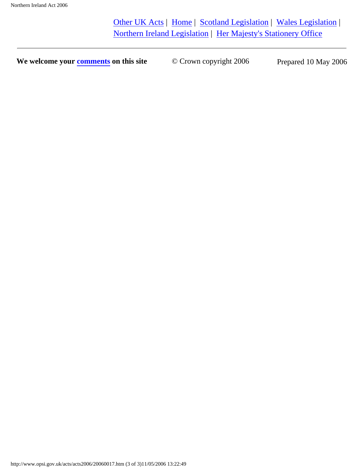[Other UK Acts](http://www.opsi.gov.uk/acts.htm#acts) | [Home](http://www.opsi.gov.uk/) | [Scotland Legislation](http://www.scotland-legislation.hmso.gov.uk/) | [Wales Legislation](http://www.wales-legislation.hmso.gov.uk/) | [Northern Ireland Legislation](http://www.northernireland-legislation.hmso.gov.uk/) | [Her Majesty's Stationery Office](http://www.hmso.gov.uk/)

**We welcome your [comments](http://www.hmso.gov.uk/contact/comments.htm) on this site**  $\degree$  Crown copyright 2006 Prepared 10 May 2006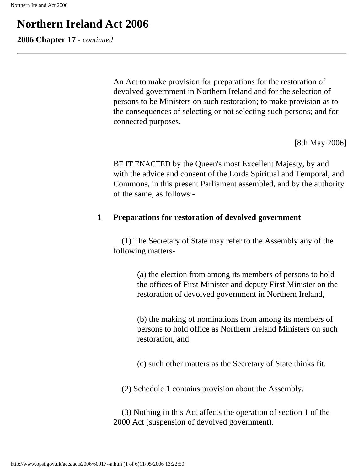<span id="page-3-1"></span>**2006 Chapter 17** - *continued*

An Act to make provision for preparations for the restoration of devolved government in Northern Ireland and for the selection of persons to be Ministers on such restoration; to make provision as to the consequences of selecting or not selecting such persons; and for connected purposes.

[8th May 2006]

BE IT ENACTED by the Queen's most Excellent Majesty, by and with the advice and consent of the Lords Spiritual and Temporal, and Commons, in this present Parliament assembled, and by the authority of the same, as follows:-

#### <span id="page-3-0"></span>**1 Preparations for restoration of devolved government**

 (1) The Secretary of State may refer to the Assembly any of the following matters-

> (a) the election from among its members of persons to hold the offices of First Minister and deputy First Minister on the restoration of devolved government in Northern Ireland,

> (b) the making of nominations from among its members of persons to hold office as Northern Ireland Ministers on such restoration, and

(c) such other matters as the Secretary of State thinks fit.

(2) Schedule 1 contains provision about the Assembly.

 (3) Nothing in this Act affects the operation of section 1 of the 2000 Act (suspension of devolved government).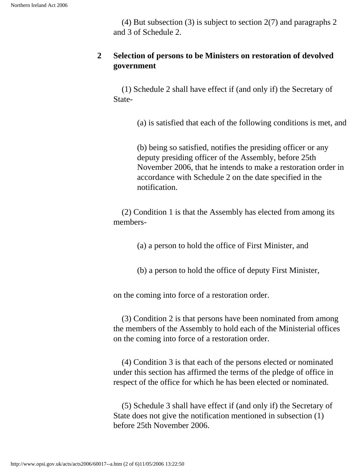(4) But subsection (3) is subject to section 2(7) and paragraphs 2 and 3 of Schedule 2.

#### <span id="page-4-0"></span>**2 Selection of persons to be Ministers on restoration of devolved government**

 (1) Schedule 2 shall have effect if (and only if) the Secretary of State-

(a) is satisfied that each of the following conditions is met, and

(b) being so satisfied, notifies the presiding officer or any deputy presiding officer of the Assembly, before 25th November 2006, that he intends to make a restoration order in accordance with Schedule 2 on the date specified in the notification.

 (2) Condition 1 is that the Assembly has elected from among its members-

(a) a person to hold the office of First Minister, and

(b) a person to hold the office of deputy First Minister,

on the coming into force of a restoration order.

 (3) Condition 2 is that persons have been nominated from among the members of the Assembly to hold each of the Ministerial offices on the coming into force of a restoration order.

 (4) Condition 3 is that each of the persons elected or nominated under this section has affirmed the terms of the pledge of office in respect of the office for which he has been elected or nominated.

 (5) Schedule 3 shall have effect if (and only if) the Secretary of State does not give the notification mentioned in subsection (1) before 25th November 2006.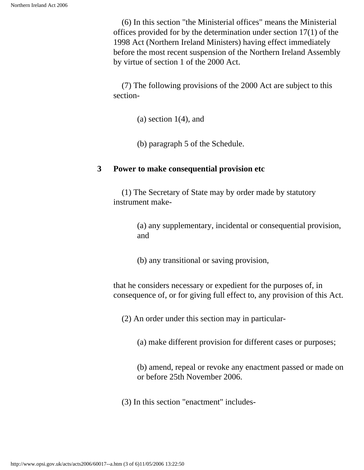(6) In this section "the Ministerial offices" means the Ministerial offices provided for by the determination under section 17(1) of the 1998 Act (Northern Ireland Ministers) having effect immediately before the most recent suspension of the Northern Ireland Assembly by virtue of section 1 of the 2000 Act.

 (7) The following provisions of the 2000 Act are subject to this section-

 $(a)$  section 1(4), and

(b) paragraph 5 of the Schedule.

#### <span id="page-5-0"></span>**3 Power to make consequential provision etc**

 (1) The Secretary of State may by order made by statutory instrument make-

> (a) any supplementary, incidental or consequential provision, and

(b) any transitional or saving provision,

that he considers necessary or expedient for the purposes of, in consequence of, or for giving full effect to, any provision of this Act.

(2) An order under this section may in particular-

(a) make different provision for different cases or purposes;

(b) amend, repeal or revoke any enactment passed or made on or before 25th November 2006.

(3) In this section "enactment" includes-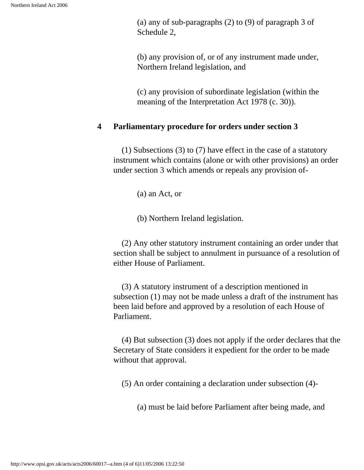(a) any of sub-paragraphs (2) to (9) of paragraph 3 of Schedule 2,

(b) any provision of, or of any instrument made under, Northern Ireland legislation, and

(c) any provision of subordinate legislation (within the meaning of the Interpretation Act 1978 (c. 30)).

#### <span id="page-6-0"></span>**4 Parliamentary procedure for orders under section 3**

 (1) Subsections (3) to (7) have effect in the case of a statutory instrument which contains (alone or with other provisions) an order under section 3 which amends or repeals any provision of-

(a) an Act, or

(b) Northern Ireland legislation.

 (2) Any other statutory instrument containing an order under that section shall be subject to annulment in pursuance of a resolution of either House of Parliament.

 (3) A statutory instrument of a description mentioned in subsection (1) may not be made unless a draft of the instrument has been laid before and approved by a resolution of each House of Parliament.

 (4) But subsection (3) does not apply if the order declares that the Secretary of State considers it expedient for the order to be made without that approval.

(5) An order containing a declaration under subsection (4)-

(a) must be laid before Parliament after being made, and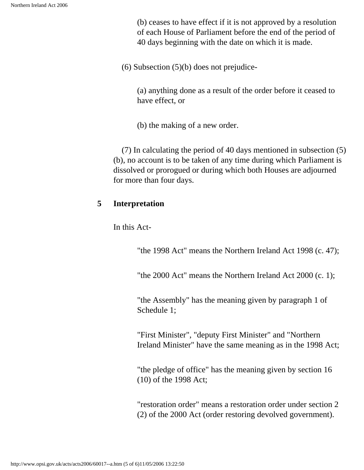(b) ceases to have effect if it is not approved by a resolution of each House of Parliament before the end of the period of 40 days beginning with the date on which it is made.

(6) Subsection (5)(b) does not prejudice-

(a) anything done as a result of the order before it ceased to have effect, or

(b) the making of a new order.

 (7) In calculating the period of 40 days mentioned in subsection (5) (b), no account is to be taken of any time during which Parliament is dissolved or prorogued or during which both Houses are adjourned for more than four days.

#### <span id="page-7-0"></span>**5 Interpretation**

In this Act-

"the 1998 Act" means the Northern Ireland Act 1998 (c. 47);

"the 2000 Act" means the Northern Ireland Act 2000 (c. 1);

"the Assembly" has the meaning given by paragraph 1 of Schedule 1;

"First Minister", "deputy First Minister" and "Northern Ireland Minister" have the same meaning as in the 1998 Act;

"the pledge of office" has the meaning given by section 16 (10) of the 1998 Act;

"restoration order" means a restoration order under section 2 (2) of the 2000 Act (order restoring devolved government).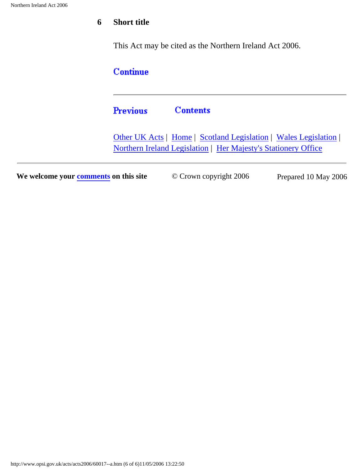### <span id="page-8-0"></span>**6 Short title**

This Act may be cited as the Northern Ireland Act 2006.

### Continue

#### **Contents Previous**

[Other UK Acts](http://www.opsi.gov.uk/acts.htm#acts) | [Home](http://www.opsi.gov.uk/) | [Scotland Legislation](http://www.scotland-legislation.hmso.gov.uk/) | [Wales Legislation](http://www.wales-legislation.hmso.gov.uk/) | [Northern Ireland Legislation](http://www.northernireland-legislation.hmso.gov.uk/) | [Her Majesty's Stationery Office](http://www.hmso.gov.uk/)

**We welcome your [comments](http://www.hmso.gov.uk/contact/comments.htm) on this site**  $\degree$  Crown copyright 2006 Prepared 10 May 2006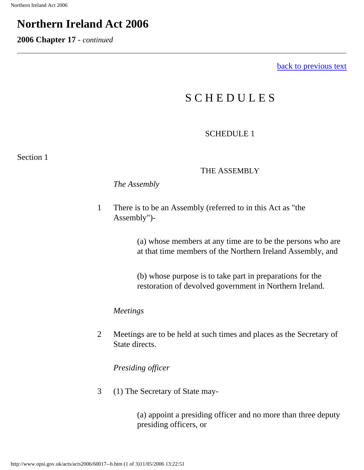<span id="page-9-1"></span>**2006 Chapter 17** - *continued*

[back to previous text](#page-3-1)

## S C H E D U L E S

### SCHEDULE 1

<span id="page-9-0"></span>Section 1

#### THE ASSEMBLY

*The Assembly*

1 There is to be an Assembly (referred to in this Act as "the Assembly")-

> (a) whose members at any time are to be the persons who are at that time members of the Northern Ireland Assembly, and

(b) whose purpose is to take part in preparations for the restoration of devolved government in Northern Ireland.

*Meetings*

2 Meetings are to be held at such times and places as the Secretary of State directs.

*Presiding officer*

3 (1) The Secretary of State may-

(a) appoint a presiding officer and no more than three deputy presiding officers, or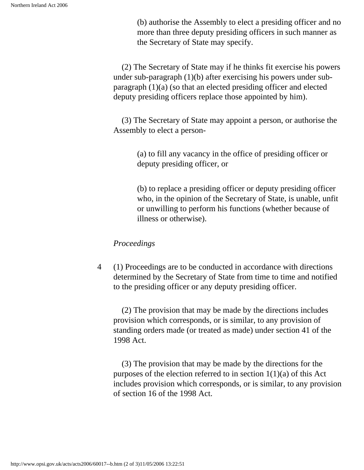(b) authorise the Assembly to elect a presiding officer and no more than three deputy presiding officers in such manner as the Secretary of State may specify.

 (2) The Secretary of State may if he thinks fit exercise his powers under sub-paragraph (1)(b) after exercising his powers under subparagraph (1)(a) (so that an elected presiding officer and elected deputy presiding officers replace those appointed by him).

 (3) The Secretary of State may appoint a person, or authorise the Assembly to elect a person-

> (a) to fill any vacancy in the office of presiding officer or deputy presiding officer, or

(b) to replace a presiding officer or deputy presiding officer who, in the opinion of the Secretary of State, is unable, unfit or unwilling to perform his functions (whether because of illness or otherwise).

#### *Proceedings*

4 (1) Proceedings are to be conducted in accordance with directions determined by the Secretary of State from time to time and notified to the presiding officer or any deputy presiding officer.

 (2) The provision that may be made by the directions includes provision which corresponds, or is similar, to any provision of standing orders made (or treated as made) under section 41 of the 1998 Act.

 (3) The provision that may be made by the directions for the purposes of the election referred to in section  $1(1)(a)$  of this Act includes provision which corresponds, or is similar, to any provision of section 16 of the 1998 Act.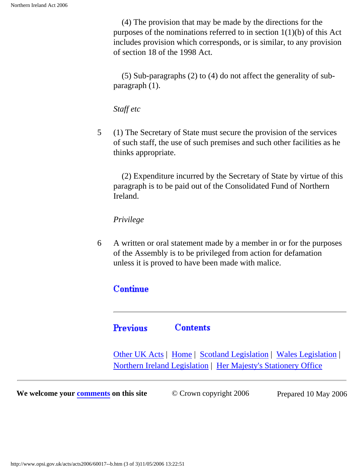(4) The provision that may be made by the directions for the purposes of the nominations referred to in section 1(1)(b) of this Act includes provision which corresponds, or is similar, to any provision of section 18 of the 1998 Act.

 (5) Sub-paragraphs (2) to (4) do not affect the generality of subparagraph (1).

*Staff etc*

5 (1) The Secretary of State must secure the provision of the services of such staff, the use of such premises and such other facilities as he thinks appropriate.

 (2) Expenditure incurred by the Secretary of State by virtue of this paragraph is to be paid out of the Consolidated Fund of Northern Ireland.

*Privilege*

6 A written or oral statement made by a member in or for the purposes of the Assembly is to be privileged from action for defamation unless it is proved to have been made with malice.

### **Continue**

**Previous Contents** 

[Other UK Acts](http://www.opsi.gov.uk/acts.htm#acts) | [Home](http://www.opsi.gov.uk/) | [Scotland Legislation](http://www.scotland-legislation.hmso.gov.uk/) | [Wales Legislation](http://www.wales-legislation.hmso.gov.uk/) | [Northern Ireland Legislation](http://www.northernireland-legislation.hmso.gov.uk/) | [Her Majesty's Stationery Office](http://www.hmso.gov.uk/)

**We welcome your [comments](http://www.hmso.gov.uk/contact/comments.htm) on this site**  $\degree$   $\degree$  Crown copyright 2006 Prepared 10 May 2006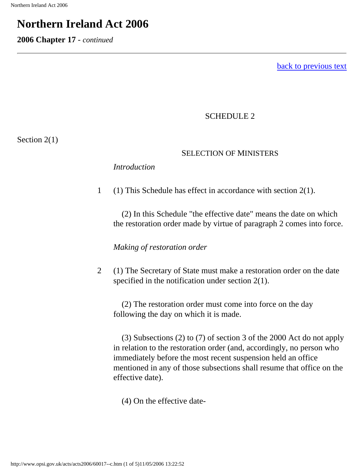<span id="page-12-0"></span>**2006 Chapter 17** - *continued*

[back to previous text](#page-9-1)

### SCHEDULE 2

Section 2(1)

#### SELECTION OF MINISTERS

*Introduction*

1 (1) This Schedule has effect in accordance with section 2(1).

 (2) In this Schedule "the effective date" means the date on which the restoration order made by virtue of paragraph 2 comes into force.

*Making of restoration order*

2 (1) The Secretary of State must make a restoration order on the date specified in the notification under section 2(1).

 (2) The restoration order must come into force on the day following the day on which it is made.

 (3) Subsections (2) to (7) of section 3 of the 2000 Act do not apply in relation to the restoration order (and, accordingly, no person who immediately before the most recent suspension held an office mentioned in any of those subsections shall resume that office on the effective date).

(4) On the effective date-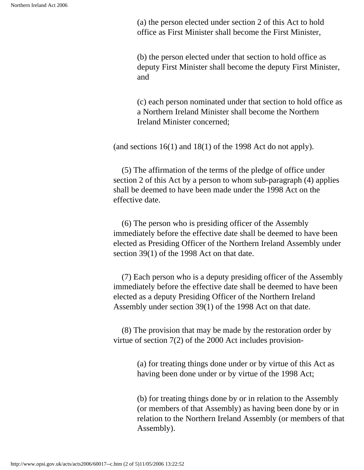(a) the person elected under section 2 of this Act to hold office as First Minister shall become the First Minister,

(b) the person elected under that section to hold office as deputy First Minister shall become the deputy First Minister, and

(c) each person nominated under that section to hold office as a Northern Ireland Minister shall become the Northern Ireland Minister concerned;

(and sections 16(1) and 18(1) of the 1998 Act do not apply).

 (5) The affirmation of the terms of the pledge of office under section 2 of this Act by a person to whom sub-paragraph (4) applies shall be deemed to have been made under the 1998 Act on the effective date.

 (6) The person who is presiding officer of the Assembly immediately before the effective date shall be deemed to have been elected as Presiding Officer of the Northern Ireland Assembly under section 39(1) of the 1998 Act on that date.

 (7) Each person who is a deputy presiding officer of the Assembly immediately before the effective date shall be deemed to have been elected as a deputy Presiding Officer of the Northern Ireland Assembly under section 39(1) of the 1998 Act on that date.

 (8) The provision that may be made by the restoration order by virtue of section 7(2) of the 2000 Act includes provision-

> (a) for treating things done under or by virtue of this Act as having been done under or by virtue of the 1998 Act;

(b) for treating things done by or in relation to the Assembly (or members of that Assembly) as having been done by or in relation to the Northern Ireland Assembly (or members of that Assembly).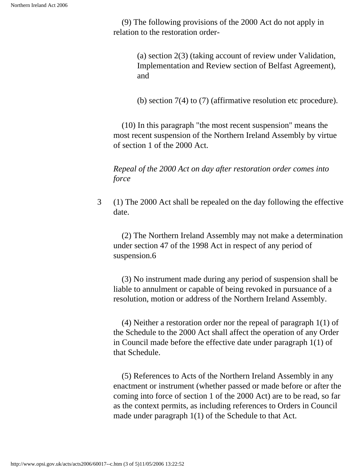(9) The following provisions of the 2000 Act do not apply in relation to the restoration order-

> (a) section 2(3) (taking account of review under Validation, Implementation and Review section of Belfast Agreement), and

> (b) section 7(4) to (7) (affirmative resolution etc procedure).

 (10) In this paragraph "the most recent suspension" means the most recent suspension of the Northern Ireland Assembly by virtue of section 1 of the 2000 Act.

*Repeal of the 2000 Act on day after restoration order comes into force*

3 (1) The 2000 Act shall be repealed on the day following the effective date.

 (2) The Northern Ireland Assembly may not make a determination under section 47 of the 1998 Act in respect of any period of suspension.6

 (3) No instrument made during any period of suspension shall be liable to annulment or capable of being revoked in pursuance of a resolution, motion or address of the Northern Ireland Assembly.

 (4) Neither a restoration order nor the repeal of paragraph 1(1) of the Schedule to the 2000 Act shall affect the operation of any Order in Council made before the effective date under paragraph 1(1) of that Schedule.

 (5) References to Acts of the Northern Ireland Assembly in any enactment or instrument (whether passed or made before or after the coming into force of section 1 of the 2000 Act) are to be read, so far as the context permits, as including references to Orders in Council made under paragraph 1(1) of the Schedule to that Act.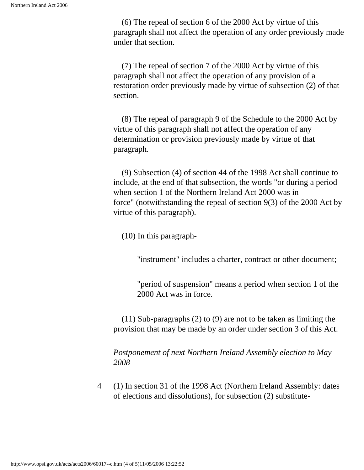(6) The repeal of section 6 of the 2000 Act by virtue of this paragraph shall not affect the operation of any order previously made under that section.

 (7) The repeal of section 7 of the 2000 Act by virtue of this paragraph shall not affect the operation of any provision of a restoration order previously made by virtue of subsection (2) of that section.

 (8) The repeal of paragraph 9 of the Schedule to the 2000 Act by virtue of this paragraph shall not affect the operation of any determination or provision previously made by virtue of that paragraph.

 (9) Subsection (4) of section 44 of the 1998 Act shall continue to include, at the end of that subsection, the words "or during a period when section 1 of the Northern Ireland Act 2000 was in force" (notwithstanding the repeal of section 9(3) of the 2000 Act by virtue of this paragraph).

(10) In this paragraph-

"instrument" includes a charter, contract or other document;

"period of suspension" means a period when section 1 of the 2000 Act was in force.

 (11) Sub-paragraphs (2) to (9) are not to be taken as limiting the provision that may be made by an order under section 3 of this Act.

*Postponement of next Northern Ireland Assembly election to May 2008*

4 (1) In section 31 of the 1998 Act (Northern Ireland Assembly: dates of elections and dissolutions), for subsection (2) substitute-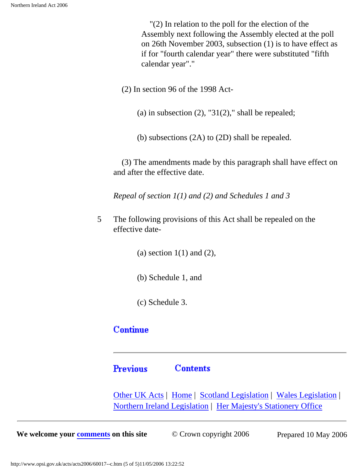"(2) In relation to the poll for the election of the Assembly next following the Assembly elected at the poll on 26th November 2003, subsection (1) is to have effect as if for "fourth calendar year" there were substituted "fifth calendar year"."

(2) In section 96 of the 1998 Act-

- (a) in subsection  $(2)$ , "31 $(2)$ ," shall be repealed;
- (b) subsections (2A) to (2D) shall be repealed.

 (3) The amendments made by this paragraph shall have effect on and after the effective date.

*Repeal of section 1(1) and (2) and Schedules 1 and 3*

5 The following provisions of this Act shall be repealed on the effective date-

(a) section  $1(1)$  and  $(2)$ ,

- (b) Schedule 1, and
- (c) Schedule 3.

### **Continue**

#### **Previous Contents**

[Other UK Acts](http://www.opsi.gov.uk/acts.htm#acts) | [Home](http://www.opsi.gov.uk/) | [Scotland Legislation](http://www.scotland-legislation.hmso.gov.uk/) | [Wales Legislation](http://www.wales-legislation.hmso.gov.uk/) | [Northern Ireland Legislation](http://www.northernireland-legislation.hmso.gov.uk/) | [Her Majesty's Stationery Office](http://www.hmso.gov.uk/)

**We welcome your [comments](http://www.hmso.gov.uk/contact/comments.htm) on this site**  $\degree$  Crown copyright 2006 Prepared 10 May 2006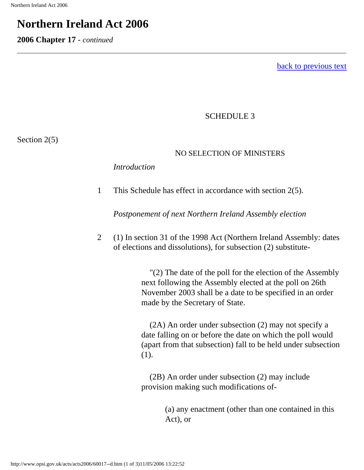<span id="page-17-1"></span>**2006 Chapter 17** - *continued*

[back to previous text](#page-12-0)

#### SCHEDULE 3

<span id="page-17-0"></span>Section 2(5)

#### NO SELECTION OF MINISTERS

#### *Introduction*

1 This Schedule has effect in accordance with section 2(5).

*Postponement of next Northern Ireland Assembly election*

2 (1) In section 31 of the 1998 Act (Northern Ireland Assembly: dates of elections and dissolutions), for subsection (2) substitute-

> "(2) The date of the poll for the election of the Assembly next following the Assembly elected at the poll on 26th November 2003 shall be a date to be specified in an order made by the Secretary of State.

> (2A) An order under subsection (2) may not specify a date falling on or before the date on which the poll would (apart from that subsection) fall to be held under subsection (1).

 (2B) An order under subsection (2) may include provision making such modifications of-

> (a) any enactment (other than one contained in this Act), or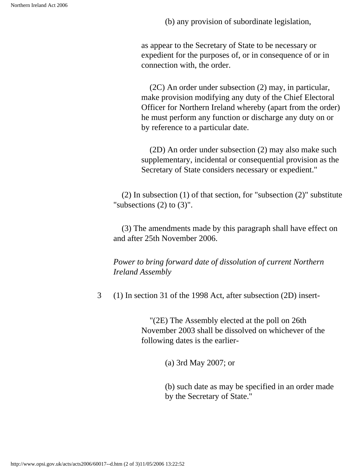(b) any provision of subordinate legislation,

as appear to the Secretary of State to be necessary or expedient for the purposes of, or in consequence of or in connection with, the order.

 (2C) An order under subsection (2) may, in particular, make provision modifying any duty of the Chief Electoral Officer for Northern Ireland whereby (apart from the order) he must perform any function or discharge any duty on or by reference to a particular date.

 (2D) An order under subsection (2) may also make such supplementary, incidental or consequential provision as the Secretary of State considers necessary or expedient."

 (2) In subsection (1) of that section, for "subsection (2)" substitute "subsections  $(2)$  to  $(3)$ ".

 (3) The amendments made by this paragraph shall have effect on and after 25th November 2006.

*Power to bring forward date of dissolution of current Northern Ireland Assembly*

3 (1) In section 31 of the 1998 Act, after subsection (2D) insert-

 "(2E) The Assembly elected at the poll on 26th November 2003 shall be dissolved on whichever of the following dates is the earlier-

(a) 3rd May 2007; or

(b) such date as may be specified in an order made by the Secretary of State."